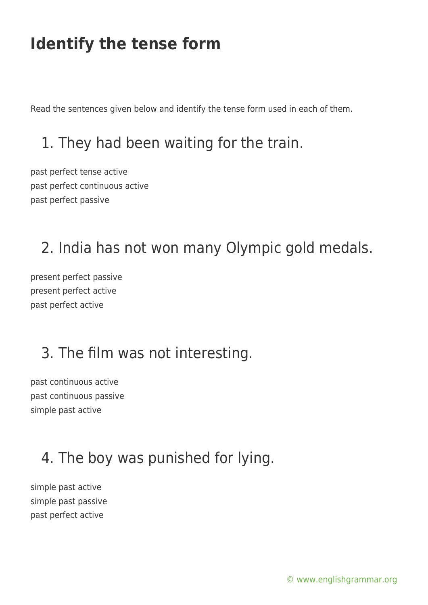Read the sentences given below and identify the tense form used in each of them.

### 1. They had been waiting for the train.

past perfect tense active past perfect continuous active past perfect passive

#### 2. India has not won many Olympic gold medals.

present perfect passive present perfect active past perfect active

## 3. The film was not interesting.

past continuous active past continuous passive simple past active

## 4. The boy was punished for lying.

simple past active simple past passive past perfect active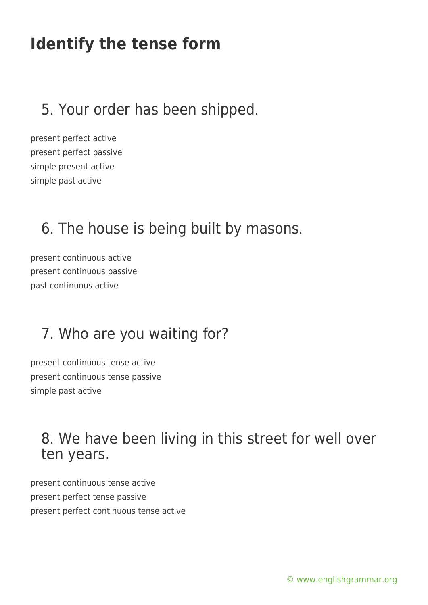#### 5. Your order has been shipped.

present perfect active present perfect passive simple present active simple past active

#### 6. The house is being built by masons.

present continuous active present continuous passive past continuous active

#### 7. Who are you waiting for?

present continuous tense active present continuous tense passive simple past active

#### 8. We have been living in this street for well over ten years.

present continuous tense active present perfect tense passive present perfect continuous tense active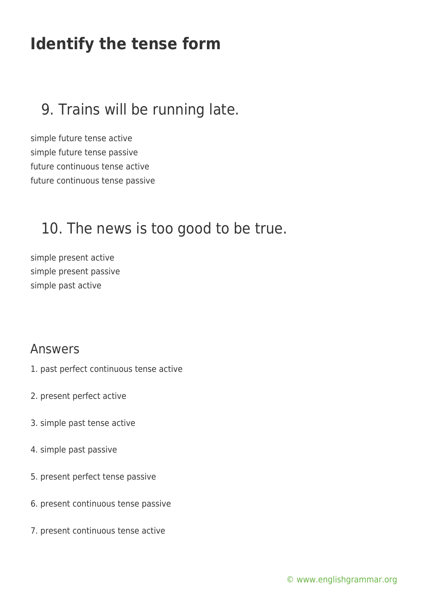#### 9. Trains will be running late.

simple future tense active simple future tense passive future continuous tense active future continuous tense passive

#### 10. The news is too good to be true.

simple present active simple present passive simple past active

#### Answers

- 1. past perfect continuous tense active
- 2. present perfect active
- 3. simple past tense active
- 4. simple past passive
- 5. present perfect tense passive
- 6. present continuous tense passive
- 7. present continuous tense active